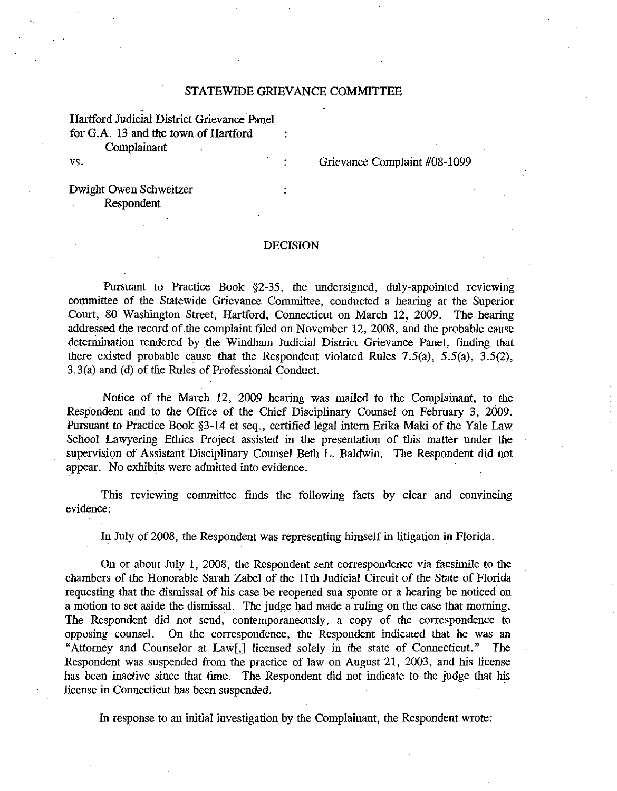### STATEWIDE GRIEVANCE COMMITTEE

Hartford judicial District Grievance Panel for G.A. 13 and the town of Hartford Complainant

vs.

Grievance Complaint #08-1099

Dwight Owen Schweitzer Respondent

### DECISION

Pursuant to Practice Book §2-35, the undersigned, duly-appointed reviewing committee of the Statewide Grievance Committee, conducted a hearing at the Superior Court, 80 Washington Street, Hartford, Counecticut on March 12, 2009. The hearing addressed the record of the complaint filed on November 12, 2008, and the probable cause determination rendered by the Windham judicial District Grievance Panel, finding that there existed probable cause that the Respondent violated Rules  $7.5(a)$ ,  $5.5(a)$ ,  $3.5(2)$ , 3.3(a) and (d) of the Rules of Professional Conduct.

Notice of the March 12, 2009 hearing was mailed to the Complainant, to the Respondent and to the Office of the Chief Disciplinary Counsel on February 3, 2009. Pursuant to Practice Book §3-I4 et seq., certified legal intern Erika Maki of the Yale Law School Lawyering Ethics Project assisted in the presentation of this matter under the supervision of Assistant Disciplinary Counsel Beth L. Baldwin. The Respondent did not appear. No exhibits were admitted into evidence.

This reviewing committee finds the following facts by clear and convincing evidence:

**In** July of 2008, the Respondent was representing himself in litigation in Florida.

On or about July **I,** 2008, the Respondent sent correspondence via facsimile to the chambers of the Honorable Sarah Zabel of the **II**th Judicial Circuit of the State of Florida requesting that the dismissal of his case be reopened sua sponte or a hearing be noticed on a motion to set aside the dismissal. The judge had made a ruling on the case that morning. The Respondent did not send, contemporaneously, a copy of the correspondence to opposing counsel. On the correspondence, the Respondent indicated that he was an "Attorney and Counselor at Law[,] licensed solely in the state of Counecticut." The Respondent was suspended from the practice of law on August 21, 2003, and his license has been inactive since that time. The Respondent did not indicate to the judge that his license in Connecticut has been suspended.

**In** response to an initial investigation by the Complainant, the Respondent wrote: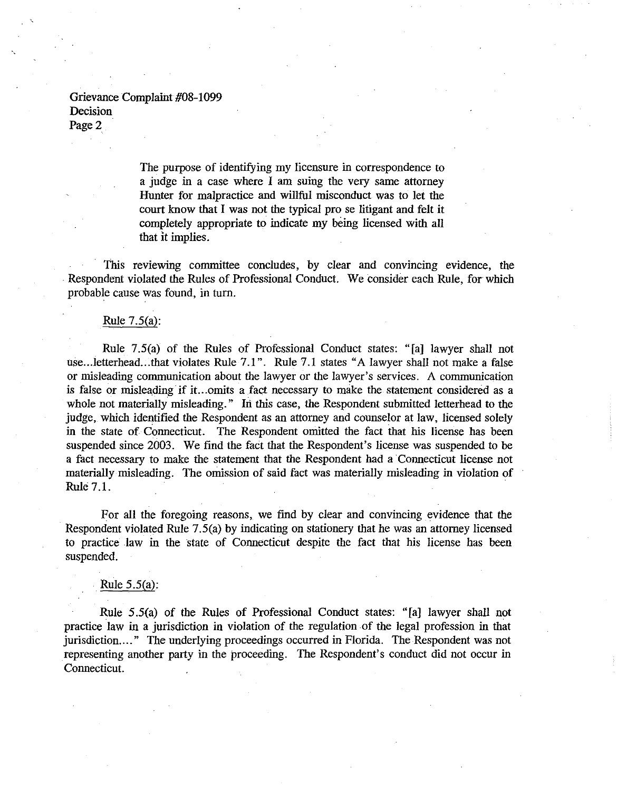> The purpose of identifying my licensure in correspondence to a judge in a case where 1 am suing the very same attorney Hunter for malpractice and willful misconduct was to let the court know that I was not the typical pro se litigant and felt it completely appropriate to indicate my being licensed with all that it implies.

This reviewing committee concludes, by clear and convincing evidence, the Respondent violated the Rules of Professional Conduct. We consider each Rule, for which probable cause was found, in turn.

#### Rule 7.5(a):

Rule 7.5(a) of the Rules of Professional Conduct states: "[a] lawyer shall not use...letterhead...that violates Rule 7.1". Rule 7.1 states "A lawyer shall not make a false or misleading communication about the lawyer or the lawyer's services. A communication is false or misleading if it...omits a fact necessary to make the statement considered as a whole not materially misleading." In this case, the Respondent submitted letterhead to the judge, which identified the Respondent as an attorney and counselor at law, licensed solely in the state of Connecticut. The Respondent omitted the fact that his license has been suspended since 2003. We find the fact that the Respondent's license was suspended to be a fact necessary to make the statement that the Respondent had a·Connecticut license not materially misleading. The omission of said fact was materially misleading in violation of Rule 7.1.

For all the foregoing reasons, we find by clear and convincing evidence that the Respondent violated Rule 7.5(a) by indicating on stationery that he was an attorney licensed to practice law in the state of Connecticut despite the fact that his license has been suspended.

## Rule 5.5(a):

Rule 5.5(a) of the Rules of Professional Conduct states: "[a] lawyer shall not practice law in a jurisdiction in violation of the regulation of the legal profession in that jurisdiction...." The underlying proceedings occurred in Florida. The Respondent was not representing another party in the proceeding. The Respondent's conduct did not occur in Connecticut.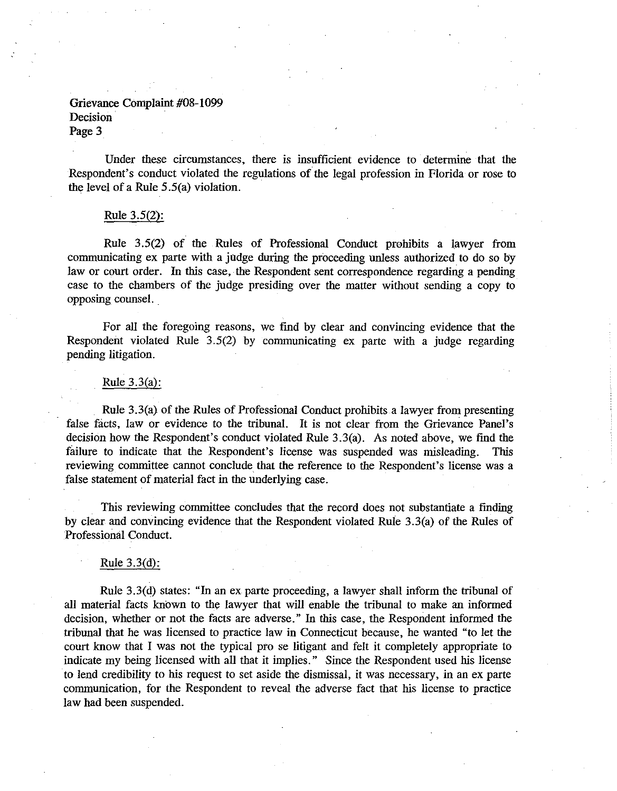Under these circumstances, there is insufficient evidence to determine that the Respondent's conduct violated the regulations of the legal profession in Florida or rose to the level of a Rule 5.5(a) violation.

## Rule 3.5(2):

Rule 3.5(2) of the Rules of Professional Conduct prohibits a lawyer from communicating ex parte with a judge during the proceeding unless authorized to do so by law or court order. In this case, the Respondent sent correspondence regarding a pending case to the chambers of the judge presiding over the matter without sending a copy to opposing counsel. .

For all the foregoing reasons, we find by clear and convincing evidence that the Respondent violated Rule 3.5(2) by communicating ex parte with a judge regarding pending litigation.

### Rule 3.3(a):

Rule 3.3(a) of the Rules of Professional Conduct prohibits a lawyer from presenting false facts, law or evidence to the tribunal. It is not clear from the Grievance Panel's decision how the Respondent's conduct violated Rule 3.3(a). As noted above, we find the failure to indicate that the Respondent's license was suspended was misleading. This reviewing committee cannot conclude that the reference to the Respondent's license was a false statement of material fact in the underlying case.

This reviewing committee concludes that the record does not substantiate a finding by clear and convincing evidence that the Respondent violated Rule 3.3(a) of the Rules of Professional Conduct.

## Rule 3.3(d):

Rule 3.3(d) states: "In an ex parte proceeding, a lawyer shall inform the tribunal of all material facts known to the lawyer that will enable the tribunal to make an informed decision, whether or not the facts are adverse." In this case, the Respondent informed the tribunal that he was licensed to practice law in Connecticut because, he wanted "to let the court know that I was not the typical pro se litigant and felt it completely appropriate to indicate my being licensed with all that it implies." Since the Respondent used his license to lend credibility to his request to set aside the dismissal, it was necessary, in an ex parte communication, for the Respondent to reveal the adverse fact that his license to practice law had been suspended.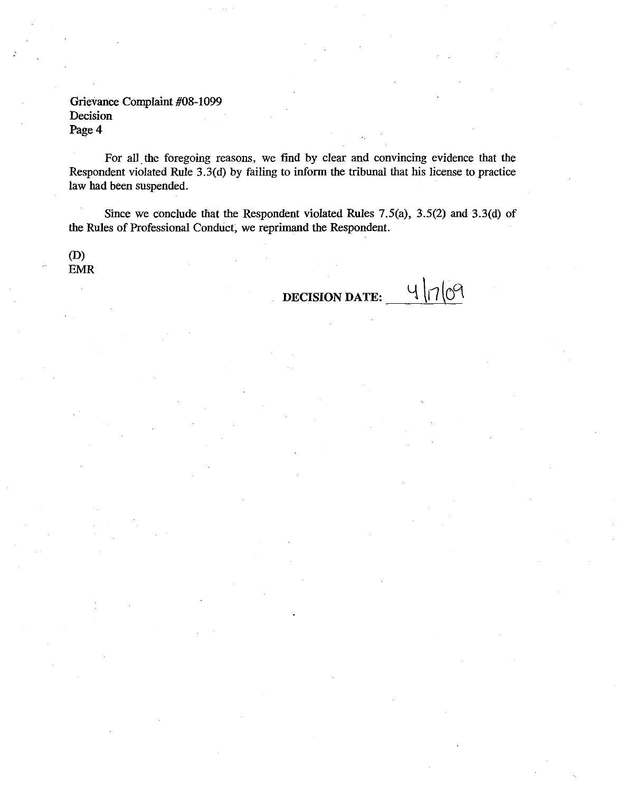For all the foregoing reasons, we find by clear and convincing evidence that the Respondent violated Rule 3.3(d) by failing to inform the tribunal that his license to practice law had been suspended.

Since we conclude that the Respondent violated Rules 7.5(a), 3.5(2) and 3.3(d) of the Rules of Professional Conduct, we reprimand the Respondent.

(0) EMR

> $41709$ DECISION DATE: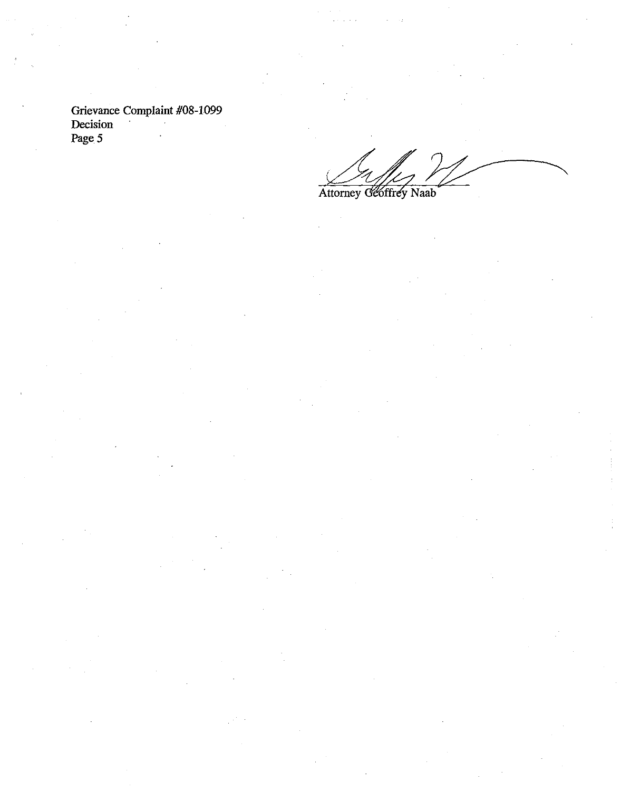Attorney Geoffrey Naab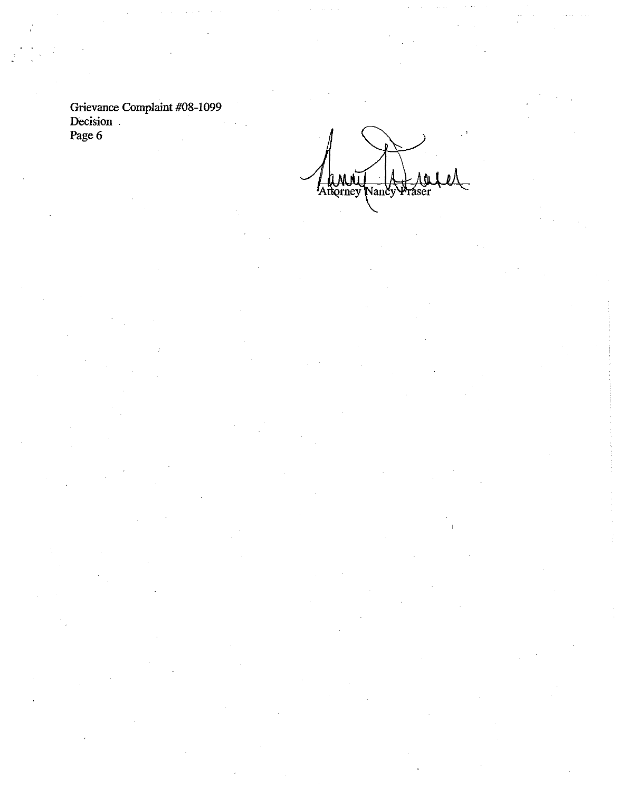**(UMM)**<br>Rorney Vančy áser